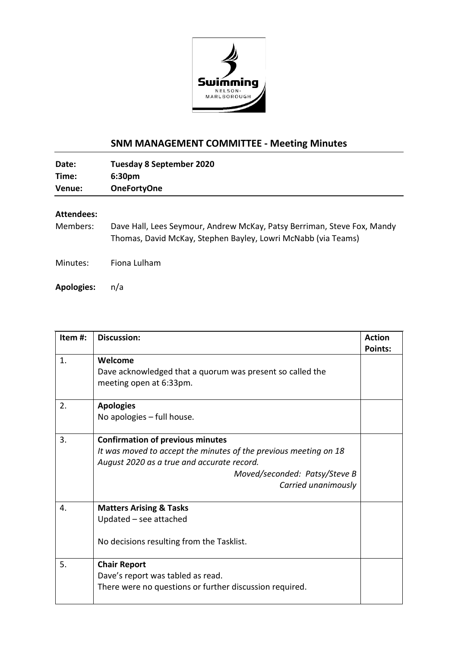

## **SNM MANAGEMENT COMMITTEE - Meeting Minutes**

| Date:  | <b>Tuesday 8 September 2020</b> |
|--------|---------------------------------|
| Time:  | 6:30 <sub>pm</sub>              |
| Venue: | <b>OneFortyOne</b>              |

## **Attendees:**

Members: Dave Hall, Lees Seymour, Andrew McKay, Patsy Berriman, Steve Fox, Mandy Thomas, David McKay, Stephen Bayley, Lowri McNabb (via Teams)

Minutes: Fiona Lulham

**Apologies:** n/a

| Item#: | <b>Discussion:</b>                                               | <b>Action</b>  |
|--------|------------------------------------------------------------------|----------------|
|        |                                                                  | <b>Points:</b> |
| 1.     | Welcome                                                          |                |
|        | Dave acknowledged that a quorum was present so called the        |                |
|        | meeting open at 6:33pm.                                          |                |
| 2.     | <b>Apologies</b>                                                 |                |
|        | No apologies - full house.                                       |                |
|        |                                                                  |                |
| 3.     | <b>Confirmation of previous minutes</b>                          |                |
|        | It was moved to accept the minutes of the previous meeting on 18 |                |
|        | August 2020 as a true and accurate record.                       |                |
|        | Moved/seconded: Patsy/Steve B                                    |                |
|        | Carried unanimously                                              |                |
| 4.     | <b>Matters Arising &amp; Tasks</b>                               |                |
|        | Updated - see attached                                           |                |
|        | No decisions resulting from the Tasklist.                        |                |
| 5.     | <b>Chair Report</b>                                              |                |
|        | Dave's report was tabled as read.                                |                |
|        | There were no questions or further discussion required.          |                |
|        |                                                                  |                |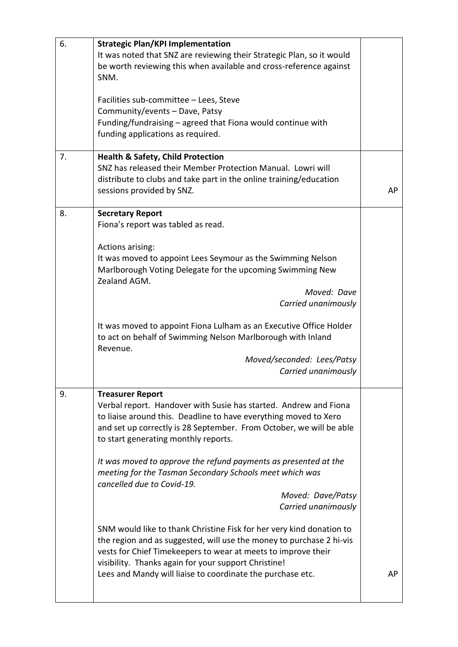| 6. | <b>Strategic Plan/KPI Implementation</b>                                |    |
|----|-------------------------------------------------------------------------|----|
|    | It was noted that SNZ are reviewing their Strategic Plan, so it would   |    |
|    | be worth reviewing this when available and cross-reference against      |    |
|    | SNM.                                                                    |    |
|    |                                                                         |    |
|    | Facilities sub-committee - Lees, Steve                                  |    |
|    | Community/events - Dave, Patsy                                          |    |
|    | Funding/fundraising – agreed that Fiona would continue with             |    |
|    | funding applications as required.                                       |    |
|    |                                                                         |    |
| 7. | <b>Health &amp; Safety, Child Protection</b>                            |    |
|    | SNZ has released their Member Protection Manual. Lowri will             |    |
|    | distribute to clubs and take part in the online training/education      |    |
|    | sessions provided by SNZ.                                               | AP |
| 8. | <b>Secretary Report</b>                                                 |    |
|    | Fiona's report was tabled as read.                                      |    |
|    |                                                                         |    |
|    | Actions arising:                                                        |    |
|    | It was moved to appoint Lees Seymour as the Swimming Nelson             |    |
|    | Marlborough Voting Delegate for the upcoming Swimming New               |    |
|    | Zealand AGM.                                                            |    |
|    | Moved: Dave                                                             |    |
|    | Carried unanimously                                                     |    |
|    |                                                                         |    |
|    | It was moved to appoint Fiona Lulham as an Executive Office Holder      |    |
|    | to act on behalf of Swimming Nelson Marlborough with Inland<br>Revenue. |    |
|    | Moved/seconded: Lees/Patsy                                              |    |
|    | Carried unanimously                                                     |    |
|    |                                                                         |    |
| 9. | <b>Treasurer Report</b>                                                 |    |
|    | Verbal report. Handover with Susie has started. Andrew and Fiona        |    |
|    | to liaise around this. Deadline to have everything moved to Xero        |    |
|    | and set up correctly is 28 September. From October, we will be able     |    |
|    | to start generating monthly reports.                                    |    |
|    |                                                                         |    |
|    | It was moved to approve the refund payments as presented at the         |    |
|    | meeting for the Tasman Secondary Schools meet which was                 |    |
|    | cancelled due to Covid-19.                                              |    |
|    | Moved: Dave/Patsy<br>Carried unanimously                                |    |
|    |                                                                         |    |
|    | SNM would like to thank Christine Fisk for her very kind donation to    |    |
|    | the region and as suggested, will use the money to purchase 2 hi-vis    |    |
|    | vests for Chief Timekeepers to wear at meets to improve their           |    |
|    | visibility. Thanks again for your support Christine!                    |    |
|    | Lees and Mandy will liaise to coordinate the purchase etc.              | AP |
|    |                                                                         |    |
|    |                                                                         |    |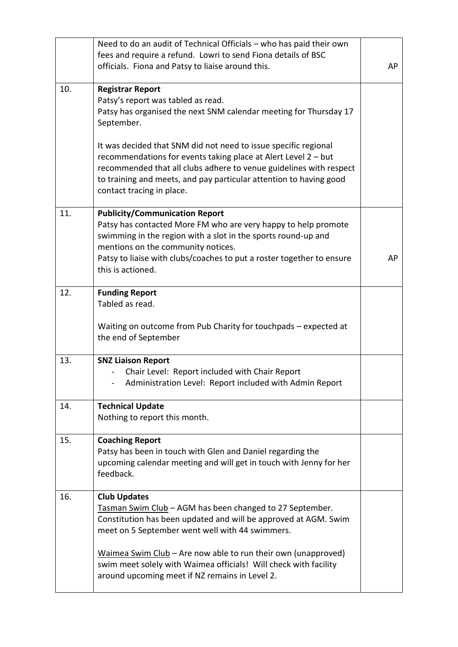|     | Need to do an audit of Technical Officials - who has paid their own                                                                                                                                                                                                                                                                                                                          |    |
|-----|----------------------------------------------------------------------------------------------------------------------------------------------------------------------------------------------------------------------------------------------------------------------------------------------------------------------------------------------------------------------------------------------|----|
|     | fees and require a refund. Lowri to send Fiona details of BSC                                                                                                                                                                                                                                                                                                                                |    |
|     | officials. Fiona and Patsy to liaise around this.                                                                                                                                                                                                                                                                                                                                            | AP |
| 10. | <b>Registrar Report</b><br>Patsy's report was tabled as read.<br>Patsy has organised the next SNM calendar meeting for Thursday 17<br>September.                                                                                                                                                                                                                                             |    |
|     | It was decided that SNM did not need to issue specific regional<br>recommendations for events taking place at Alert Level 2 - but<br>recommended that all clubs adhere to venue guidelines with respect<br>to training and meets, and pay particular attention to having good<br>contact tracing in place.                                                                                   |    |
| 11. | <b>Publicity/Communication Report</b><br>Patsy has contacted More FM who are very happy to help promote<br>swimming in the region with a slot in the sports round-up and<br>mentions on the community notices.<br>Patsy to liaise with clubs/coaches to put a roster together to ensure<br>this is actioned.                                                                                 | AP |
| 12. | <b>Funding Report</b><br>Tabled as read.<br>Waiting on outcome from Pub Charity for touchpads - expected at<br>the end of September                                                                                                                                                                                                                                                          |    |
| 13. | <b>SNZ Liaison Report</b><br>Chair Level: Report included with Chair Report<br>Administration Level: Report included with Admin Report                                                                                                                                                                                                                                                       |    |
| 14. | <b>Technical Update</b><br>Nothing to report this month.                                                                                                                                                                                                                                                                                                                                     |    |
| 15. | <b>Coaching Report</b><br>Patsy has been in touch with Glen and Daniel regarding the<br>upcoming calendar meeting and will get in touch with Jenny for her<br>feedback.                                                                                                                                                                                                                      |    |
| 16. | <b>Club Updates</b><br>Tasman Swim Club - AGM has been changed to 27 September.<br>Constitution has been updated and will be approved at AGM. Swim<br>meet on 5 September went well with 44 swimmers.<br>Waimea Swim Club – Are now able to run their own (unapproved)<br>swim meet solely with Waimea officials! Will check with facility<br>around upcoming meet if NZ remains in Level 2. |    |